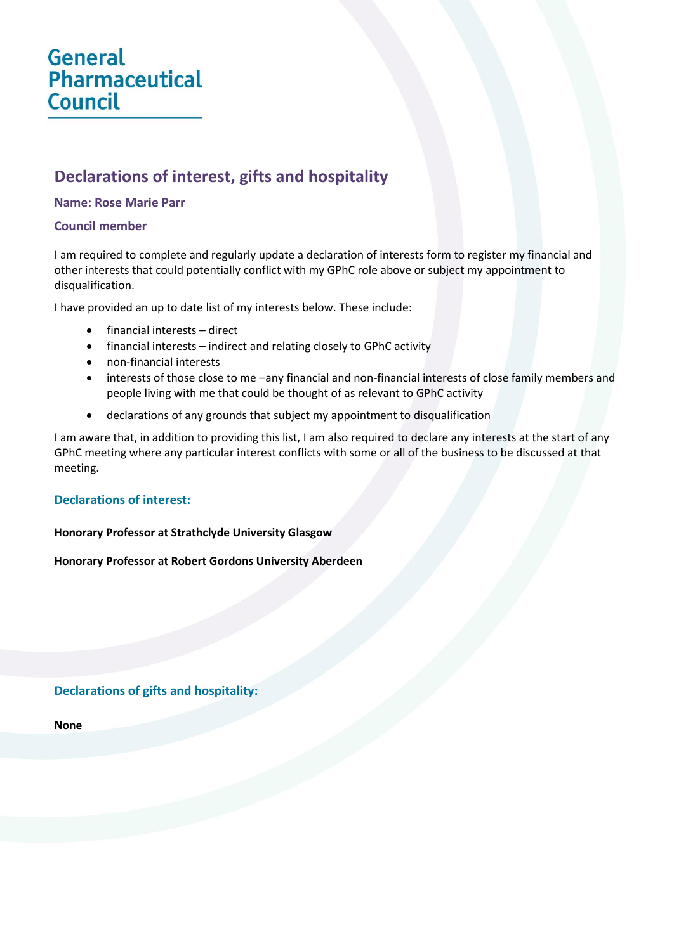# **General Pharmaceutical Council**

# **Declarations of interest, gifts and hospitality**

#### **Name: Rose Marie Parr**

### **Council member**

I am required to complete and regularly update a declaration of interests form to register my financial and other interests that could potentially conflict with my GPhC role above or subject my appointment to disqualification.

I have provided an up to date list of my interests below. These include:

- financial interests direct
- financial interests indirect and relating closely to GPhC activity
- non-financial interests
- interests of those close to me –any financial and non-financial interests of close family members and people living with me that could be thought of as relevant to GPhC activity
- declarations of any grounds that subject my appointment to disqualification

I am aware that, in addition to providing this list, I am also required to declare any interests at the start of any GPhC meeting where any particular interest conflicts with some or all of the business to be discussed at that meeting.

# **Declarations of interest:**

#### **Honorary Professor at Strathclyde University Glasgow**

**Honorary Professor at Robert Gordons University Aberdeen**

**Declarations of gifts and hospitality:**

**None**